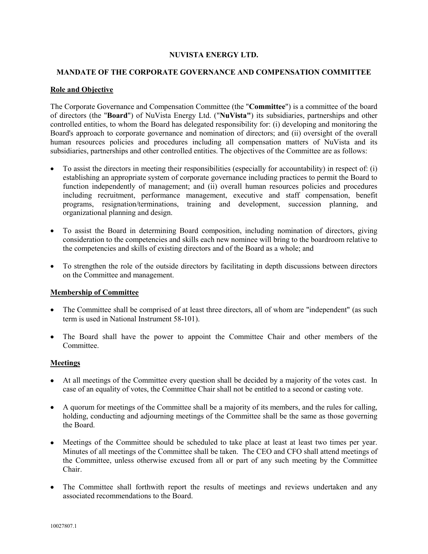# **NUVISTA ENERGY LTD.**

# **MANDATE OF THE CORPORATE GOVERNANCE AND COMPENSATION COMMITTEE**

# **Role and Objective**

The Corporate Governance and Compensation Committee (the "**Committee**") is a committee of the board of directors (the "**Board**") of NuVista Energy Ltd. ("**NuVista"**) its subsidiaries, partnerships and other controlled entities, to whom the Board has delegated responsibility for: (i) developing and monitoring the Board's approach to corporate governance and nomination of directors; and (ii) oversight of the overall human resources policies and procedures including all compensation matters of NuVista and its subsidiaries, partnerships and other controlled entities. The objectives of the Committee are as follows:

- To assist the directors in meeting their responsibilities (especially for accountability) in respect of: (i) establishing an appropriate system of corporate governance including practices to permit the Board to function independently of management; and (ii) overall human resources policies and procedures including recruitment, performance management, executive and staff compensation, benefit programs, resignation/terminations, training and development, succession planning, and organizational planning and design.
- To assist the Board in determining Board composition, including nomination of directors, giving consideration to the competencies and skills each new nominee will bring to the boardroom relative to the competencies and skills of existing directors and of the Board as a whole; and
- To strengthen the role of the outside directors by facilitating in depth discussions between directors on the Committee and management.

# **Membership of Committee**

- The Committee shall be comprised of at least three directors, all of whom are "independent" (as such term is used in National Instrument 58-101).
- The Board shall have the power to appoint the Committee Chair and other members of the Committee.

#### **Meetings**

- At all meetings of the Committee every question shall be decided by a majority of the votes cast. In case of an equality of votes, the Committee Chair shall not be entitled to a second or casting vote.
- A quorum for meetings of the Committee shall be a majority of its members, and the rules for calling, holding, conducting and adjourning meetings of the Committee shall be the same as those governing the Board.
- Meetings of the Committee should be scheduled to take place at least at least two times per year. Minutes of all meetings of the Committee shall be taken. The CEO and CFO shall attend meetings of the Committee, unless otherwise excused from all or part of any such meeting by the Committee Chair.
- The Committee shall forthwith report the results of meetings and reviews undertaken and any associated recommendations to the Board.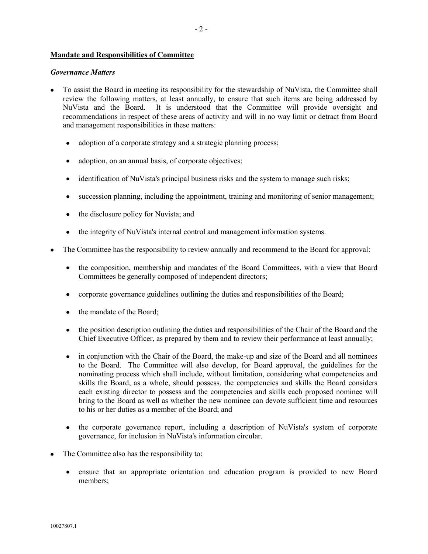## **Mandate and Responsibilities of Committee**

#### *Governance Matters*

- To assist the Board in meeting its responsibility for the stewardship of NuVista, the Committee shall review the following matters, at least annually, to ensure that such items are being addressed by NuVista and the Board. It is understood that the Committee will provide oversight and recommendations in respect of these areas of activity and will in no way limit or detract from Board and management responsibilities in these matters:
	- adoption of a corporate strategy and a strategic planning process;
	- adoption, on an annual basis, of corporate objectives;
	- identification of NuVista's principal business risks and the system to manage such risks;
	- succession planning, including the appointment, training and monitoring of senior management;
	- the disclosure policy for Nuvista; and
	- the integrity of NuVista's internal control and management information systems.
- The Committee has the responsibility to review annually and recommend to the Board for approval:
	- the composition, membership and mandates of the Board Committees, with a view that Board Committees be generally composed of independent directors;
	- corporate governance guidelines outlining the duties and responsibilities of the Board;
	- the mandate of the Board;
	- the position description outlining the duties and responsibilities of the Chair of the Board and the Chief Executive Officer, as prepared by them and to review their performance at least annually;
	- in conjunction with the Chair of the Board, the make-up and size of the Board and all nominees to the Board. The Committee will also develop, for Board approval, the guidelines for the nominating process which shall include, without limitation, considering what competencies and skills the Board, as a whole, should possess, the competencies and skills the Board considers each existing director to possess and the competencies and skills each proposed nominee will bring to the Board as well as whether the new nominee can devote sufficient time and resources to his or her duties as a member of the Board; and
	- the corporate governance report, including a description of NuVista's system of corporate governance, for inclusion in NuVista's information circular.
- The Committee also has the responsibility to:
	- ensure that an appropriate orientation and education program is provided to new Board members;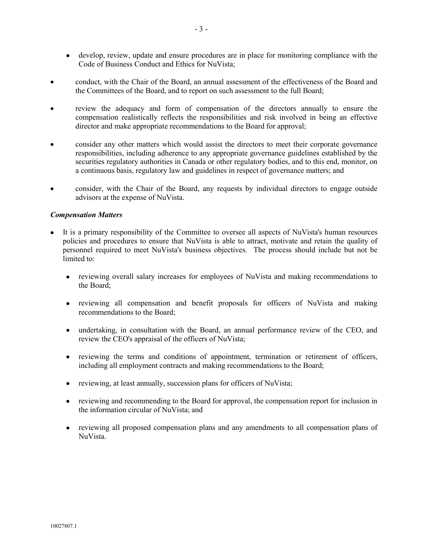- develop, review, update and ensure procedures are in place for monitoring compliance with the Code of Business Conduct and Ethics for NuVista;
- conduct, with the Chair of the Board, an annual assessment of the effectiveness of the Board and the Committees of the Board, and to report on such assessment to the full Board;
- review the adequacy and form of compensation of the directors annually to ensure the compensation realistically reflects the responsibilities and risk involved in being an effective director and make appropriate recommendations to the Board for approval;
- consider any other matters which would assist the directors to meet their corporate governance responsibilities, including adherence to any appropriate governance guidelines established by the securities regulatory authorities in Canada or other regulatory bodies, and to this end, monitor, on a continuous basis, regulatory law and guidelines in respect of governance matters; and
- consider, with the Chair of the Board, any requests by individual directors to engage outside advisors at the expense of NuVista.

## *Compensation Matters*

- It is a primary responsibility of the Committee to oversee all aspects of NuVista's human resources policies and procedures to ensure that NuVista is able to attract, motivate and retain the quality of personnel required to meet NuVista's business objectives. The process should include but not be limited to:
	- reviewing overall salary increases for employees of NuVista and making recommendations to the Board;
	- reviewing all compensation and benefit proposals for officers of NuVista and making recommendations to the Board;
	- undertaking, in consultation with the Board, an annual performance review of the CEO, and review the CEO's appraisal of the officers of NuVista;
	- reviewing the terms and conditions of appointment, termination or retirement of officers, including all employment contracts and making recommendations to the Board;
	- reviewing, at least annually, succession plans for officers of NuVista;
	- reviewing and recommending to the Board for approval, the compensation report for inclusion in the information circular of NuVista; and
	- reviewing all proposed compensation plans and any amendments to all compensation plans of NuVista.